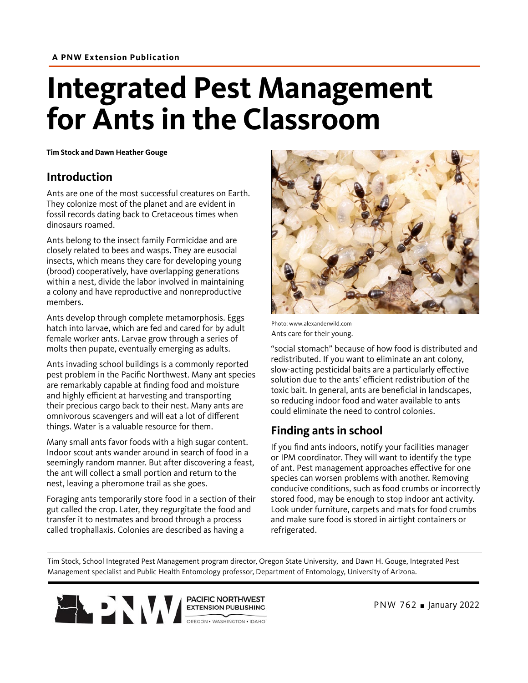# **Integrated Pest Management for Ants in the Classroom**

**Tim Stock and Dawn Heather Gouge**

#### **Introduction**

Ants are one of the most successful creatures on Earth. They colonize most of the planet and are evident in fossil records dating back to Cretaceous times when dinosaurs roamed.

Ants belong to the insect family Formicidae and are closely related to bees and wasps. They are eusocial insects, which means they care for developing young (brood) cooperatively, have overlapping generations within a nest, divide the labor involved in maintaining a colony and have reproductive and nonreproductive members.

Ants develop through complete metamorphosis. Eggs hatch into larvae, which are fed and cared for by adult female worker ants. Larvae grow through a series of molts then pupate, eventually emerging as adults.

Ants invading school buildings is a commonly reported pest problem in the Pacific Northwest. Many ant species are remarkably capable at finding food and moisture and highly efficient at harvesting and transporting their precious cargo back to their nest. Many ants are omnivorous scavengers and will eat a lot of different things. Water is a valuable resource for them.

Many small ants favor foods with a high sugar content. Indoor scout ants wander around in search of food in a seemingly random manner. But after discovering a feast, the ant will collect a small portion and return to the nest, leaving a pheromone trail as she goes.

Foraging ants temporarily store food in a section of their gut called the crop. Later, they regurgitate the food and transfer it to nestmates and brood through a process called trophallaxis. Colonies are described as having a



Photo: www.alexanderwild.com Ants care for their young.

"social stomach" because of how food is distributed and redistributed. If you want to eliminate an ant colony, slow-acting pesticidal baits are a particularly effective solution due to the ants' efficient redistribution of the toxic bait. In general, ants are beneficial in landscapes, so reducing indoor food and water available to ants could eliminate the need to control colonies.

## **Finding ants in school**

If you find ants indoors, notify your facilities manager or IPM coordinator. They will want to identify the type of ant. Pest management approaches effective for one species can worsen problems with another. Removing conducive conditions, such as food crumbs or incorrectly stored food, may be enough to stop indoor ant activity. Look under furniture, carpets and mats for food crumbs and make sure food is stored in airtight containers or refrigerated.

Tim Stock, School Integrated Pest Management program director, Oregon State University, and Dawn H. Gouge, Integrated Pest Management specialist and Public Health Entomology professor, Department of Entomology, University of Arizona.

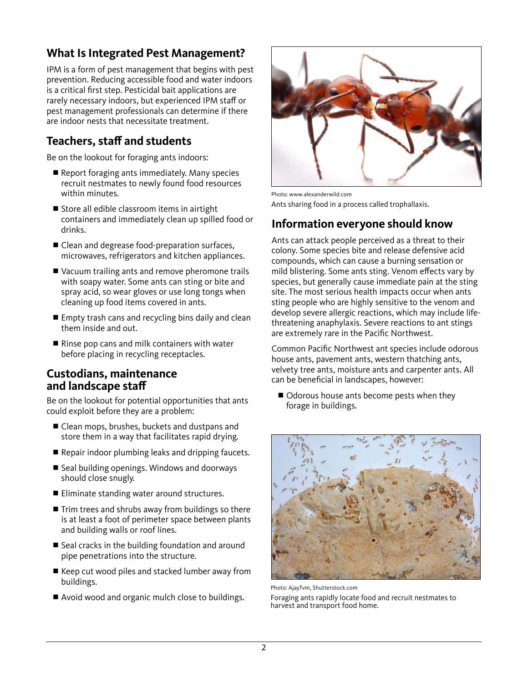## **What Is Integrated Pest Management?**

IPM is a form of pest management that begins with pest prevention. Reducing accessible food and water indoors is a critical first step. Pesticidal bait applications are rarely necessary indoors, but experienced IPM staff or pest management professionals can determine if there are indoor nests that necessitate treatment.

### **Teachers, staff and students**

Be on the lookout for foraging ants indoors:

- $\blacksquare$  Report foraging ants immediately. Many species recruit nestmates to newly found food resources within minutes.
- $\blacksquare$  Store all edible classroom items in airtight containers and immediately clean up spilled food or drinks.
- $\blacksquare$  Clean and degrease food-preparation surfaces, microwaves, refrigerators and kitchen appliances.
- Vacuum trailing ants and remove pheromone trails with soapy water. Some ants can sting or bite and spray acid, so wear gloves or use long tongs when cleaning up food items covered in ants.
- $\blacksquare$  Empty trash cans and recycling bins daily and clean them inside and out.
- $\blacksquare$  Rinse pop cans and milk containers with water before placing in recycling receptacles.

#### **Custodians, maintenance and landscape staff**

Be on the lookout for potential opportunities that ants could exploit before they are a problem:

- Clean mops, brushes, buckets and dustpans and store them in a way that facilitates rapid drying.
- Repair indoor plumbing leaks and dripping faucets.
- Seal building openings. Windows and doorways should close snugly.
- Eliminate standing water around structures.
- $\blacksquare$  Trim trees and shrubs away from buildings so there is at least a foot of perimeter space between plants and building walls or roof lines.
- $\blacksquare$  Seal cracks in the building foundation and around pipe penetrations into the structure.
- $\blacksquare$  Keep cut wood piles and stacked lumber away from buildings.
- Avoid wood and organic mulch close to buildings.



Photo: www.alexanderwild.com Ants sharing food in a process called trophallaxis.

#### **Information everyone should know**

Ants can attack people perceived as a threat to their colony. Some species bite and release defensive acid compounds, which can cause a burning sensation or mild blistering. Some ants sting. Venom effects vary by species, but generally cause immediate pain at the sting site. The most serious health impacts occur when ants sting people who are highly sensitive to the venom and develop severe allergic reactions, which may include lifethreatening anaphylaxis. Severe reactions to ant stings are extremely rare in the Pacific Northwest.

Common Pacific Northwest ant species include odorous house ants, pavement ants, western thatching ants, velvety tree ants, moisture ants and carpenter ants. All can be beneficial in landscapes, however:

■ Odorous house ants become pests when they forage in buildings.



Photo: AjayTvm, Shutterstock.com

Foraging ants rapidly locate food and recruit nestmates to harvest and transport food home.